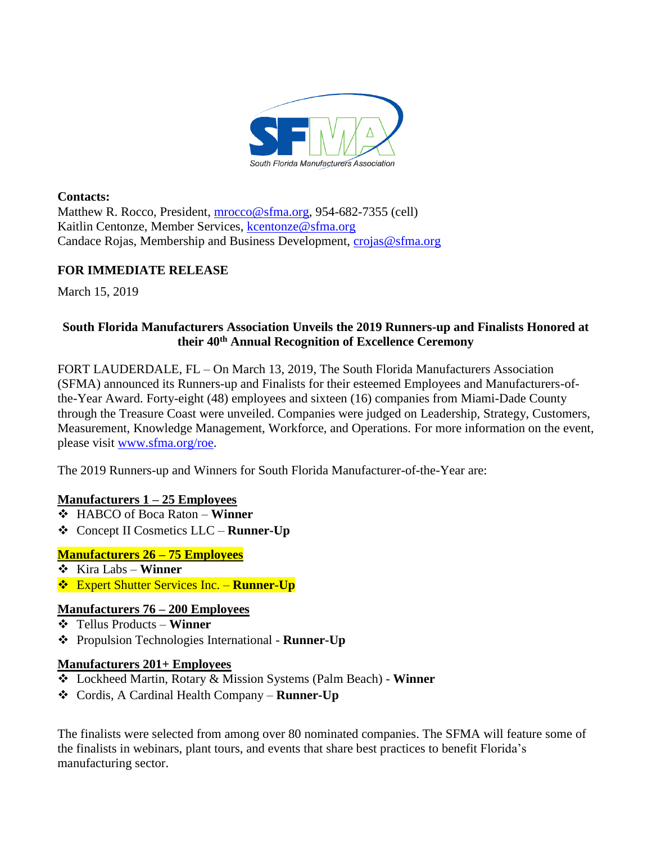

**Contacts:**  Matthew R. Rocco, President, [mrocco@sfma.org,](mailto:mrocco@sfma.org) 954-682-7355 (cell) Kaitlin Centonze, Member Services, [kcentonze@sfma.org](mailto:kcentonze@sfma.org) Candace Rojas, Membership and Business Development, [crojas@sfma.org](mailto:crojas@sfma.org)

## **FOR IMMEDIATE RELEASE**

March 15, 2019

# **South Florida Manufacturers Association Unveils the 2019 Runners-up and Finalists Honored at their 40th Annual Recognition of Excellence Ceremony**

FORT LAUDERDALE, FL – On March 13, 2019, The South Florida Manufacturers Association (SFMA) announced its Runners-up and Finalists for their esteemed Employees and Manufacturers-ofthe-Year Award. Forty-eight (48) employees and sixteen (16) companies from Miami-Dade County through the Treasure Coast were unveiled. Companies were judged on Leadership, Strategy, Customers, Measurement, Knowledge Management, Workforce, and Operations. For more information on the event, please visit [www.sfma.org/roe.](http://www.sfma.org/roe)

The 2019 Runners-up and Winners for South Florida Manufacturer-of-the-Year are:

## **Manufacturers 1 – 25 Employees**

- ❖ HABCO of Boca Raton **Winner**
- ❖ Concept II Cosmetics LLC **Runner-Up**

## **Manufacturers 26 – 75 Employees**

- ❖ Kira Labs **Winner**
- ❖ Expert Shutter Services Inc. **Runner-Up**

## **Manufacturers 76 – 200 Employees**

- ❖ Tellus Products **Winner**
- ❖ Propulsion Technologies International **Runner-Up**

## **Manufacturers 201+ Employees**

- ❖ Lockheed Martin, Rotary & Mission Systems (Palm Beach) **Winner**
- ❖ Cordis, A Cardinal Health Company **Runner-Up**

The finalists were selected from among over 80 nominated companies. The SFMA will feature some of the finalists in webinars, plant tours, and events that share best practices to benefit Florida's manufacturing sector.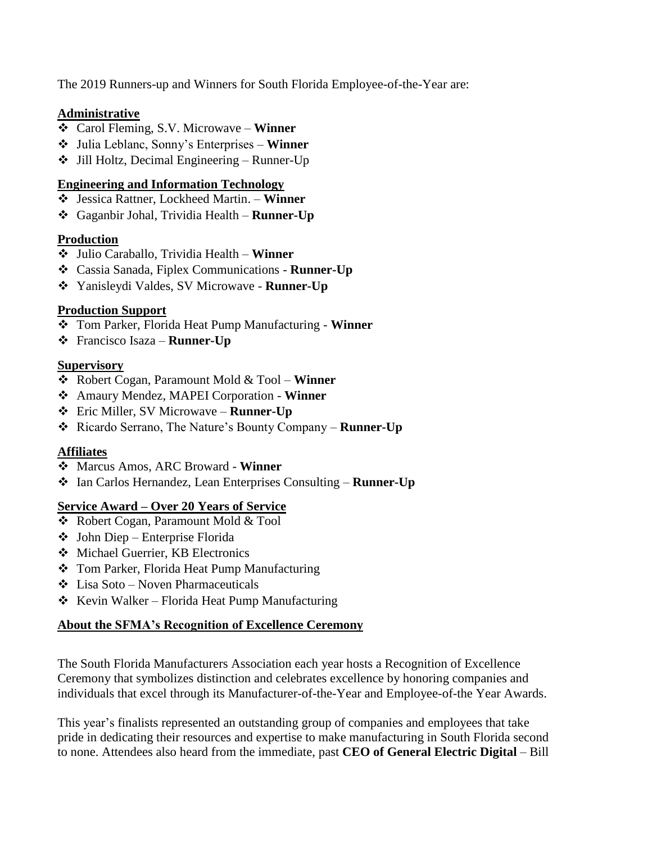The 2019 Runners-up and Winners for South Florida Employee-of-the-Year are:

## **Administrative**

- ❖ Carol Fleming, S.V. Microwave **Winner**
- ❖ Julia Leblanc, Sonny's Enterprises **Winner**
- ❖ Jill Holtz, Decimal Engineering Runner-Up

#### **Engineering and Information Technology**

- ❖ Jessica Rattner, Lockheed Martin. **Winner**
- ❖ Gaganbir Johal, Trividia Health **Runner-Up**

## **Production**

- ❖ Julio Caraballo, Trividia Health **Winner**
- ❖ Cassia Sanada, Fiplex Communications **Runner-Up**
- ❖ Yanisleydi Valdes, SV Microwave **Runner-Up**

## **Production Support**

- ❖ Tom Parker, Florida Heat Pump Manufacturing **Winner**
- ❖ Francisco Isaza **Runner-Up**

#### **Supervisory**

- ❖ Robert Cogan, Paramount Mold & Tool **Winner**
- ❖ Amaury Mendez, MAPEI Corporation **Winner**
- ❖ Eric Miller, SV Microwave **Runner-Up**
- ❖ Ricardo Serrano, The Nature's Bounty Company **Runner-Up**

## **Affiliates**

- ❖ Marcus Amos, ARC Broward **Winner**
- ❖ Ian Carlos Hernandez, Lean Enterprises Consulting **Runner-Up**

#### **Service Award – Over 20 Years of Service**

- ❖ Robert Cogan, Paramount Mold & Tool
- ❖ John Diep Enterprise Florida
- ❖ Michael Guerrier, KB Electronics
- ❖ Tom Parker, Florida Heat Pump Manufacturing
- ❖ Lisa Soto Noven Pharmaceuticals
- ❖ Kevin Walker Florida Heat Pump Manufacturing

## **About the SFMA's Recognition of Excellence Ceremony**

The South Florida Manufacturers Association each year hosts a Recognition of Excellence Ceremony that symbolizes distinction and celebrates excellence by honoring companies and individuals that excel through its Manufacturer-of-the-Year and Employee-of-the Year Awards.

This year's finalists represented an outstanding group of companies and employees that take pride in dedicating their resources and expertise to make manufacturing in South Florida second to none. Attendees also heard from the immediate, past **CEO of General Electric Digital** – Bill